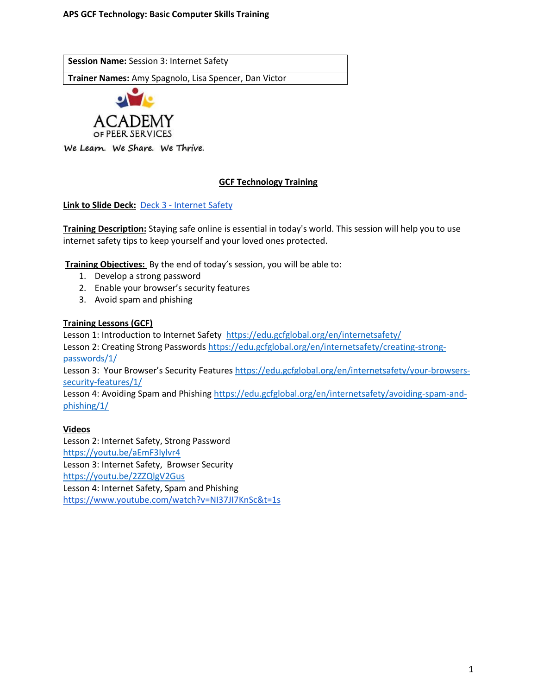**Session Name:** Session 3: Internet Safety

**Trainer Names:** Amy Spagnolo, Lisa Spencer, Dan Victor



We Learn. We Share. We Thrive.

# **GCF Technology Training**

**Link to Slide Deck:** Deck 3 - [Internet Safety](https://docs.google.com/presentation/d/1llc7WSTFQfN5acfIO5E4xuQcXLanyNHL/edit?usp=sharing&ouid=118182945340796067494&rtpof=true&sd=true)

**Training Description:** Staying safe online is essential in today's world. This session will help you to use internet safety tips to keep yourself and your loved ones protected.

**Training Objectives:** By the end of today's session, you will be able to:

- 1. Develop a strong password
- 2. Enable your browser's security features
- 3. Avoid spam and phishing

### **Training Lessons (GCF)**

Lesson 1: Introduction to Internet Safety <https://edu.gcfglobal.org/en/internetsafety/>

Lesson 2: Creating Strong Passwords [https://edu.gcfglobal.org/en/internetsafety/creating-strong](https://edu.gcfglobal.org/en/internetsafety/creating-strong-passwords/1/)[passwords/1/](https://edu.gcfglobal.org/en/internetsafety/creating-strong-passwords/1/)

Lesson 3: Your Browser's Security Features [https://edu.gcfglobal.org/en/internetsafety/your-browsers](https://edu.gcfglobal.org/en/internetsafety/your-browsers-security-features/1/)[security-features/1/](https://edu.gcfglobal.org/en/internetsafety/your-browsers-security-features/1/)

Lesson 4: Avoiding Spam and Phishing [https://edu.gcfglobal.org/en/internetsafety/avoiding-spam-and](https://edu.gcfglobal.org/en/internetsafety/avoiding-spam-and-phishing/1/)[phishing/1/](https://edu.gcfglobal.org/en/internetsafety/avoiding-spam-and-phishing/1/)

#### **Videos**

Lesson 2: Internet Safety, Strong Password <https://youtu.be/aEmF3Iylvr4> Lesson 3: Internet Safety, Browser Security <https://youtu.be/2ZZQlgV2Gus> Lesson 4: Internet Safety, Spam and Phishing <https://www.youtube.com/watch?v=NI37JI7KnSc&t=1s>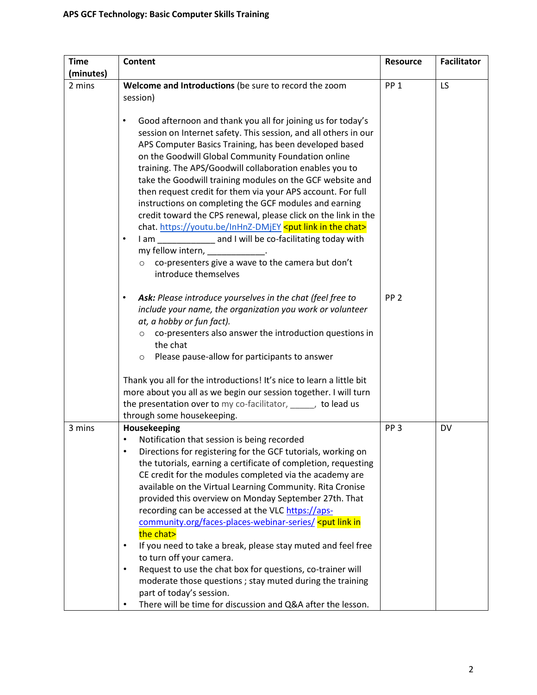| <b>Time</b> | <b>Content</b>                                                                                                                                                                                                                                                                                                                                                                                                                                                                                                                                                                                                                                                                                                                                                                                                                                                                                                                                                                           | <b>Resource</b> | <b>Facilitator</b> |
|-------------|------------------------------------------------------------------------------------------------------------------------------------------------------------------------------------------------------------------------------------------------------------------------------------------------------------------------------------------------------------------------------------------------------------------------------------------------------------------------------------------------------------------------------------------------------------------------------------------------------------------------------------------------------------------------------------------------------------------------------------------------------------------------------------------------------------------------------------------------------------------------------------------------------------------------------------------------------------------------------------------|-----------------|--------------------|
| (minutes)   |                                                                                                                                                                                                                                                                                                                                                                                                                                                                                                                                                                                                                                                                                                                                                                                                                                                                                                                                                                                          |                 |                    |
| 2 mins      | Welcome and Introductions (be sure to record the zoom<br>session)                                                                                                                                                                                                                                                                                                                                                                                                                                                                                                                                                                                                                                                                                                                                                                                                                                                                                                                        | PP <sub>1</sub> | LS.                |
|             | Good afternoon and thank you all for joining us for today's<br>$\bullet$<br>session on Internet safety. This session, and all others in our<br>APS Computer Basics Training, has been developed based<br>on the Goodwill Global Community Foundation online<br>training. The APS/Goodwill collaboration enables you to<br>take the Goodwill training modules on the GCF website and<br>then request credit for them via your APS account. For full<br>instructions on completing the GCF modules and earning<br>credit toward the CPS renewal, please click on the link in the<br>chat. https://youtu.be/InHnZ-DMjEY <put chat="" in="" link="" the=""><br/>I am ______________ and I will be co-facilitating today with<br/><math display="inline">\bullet</math><br/>my fellow intern, ___________<br/>co-presenters give a wave to the camera but don't<br/><math>\circ</math><br/>introduce themselves</put>                                                                         |                 |                    |
|             | Ask: Please introduce yourselves in the chat (feel free to<br>include your name, the organization you work or volunteer<br>at, a hobby or fun fact).<br>$\circ$ co-presenters also answer the introduction questions in<br>the chat<br>Please pause-allow for participants to answer<br>$\circ$                                                                                                                                                                                                                                                                                                                                                                                                                                                                                                                                                                                                                                                                                          | PP <sub>2</sub> |                    |
|             | Thank you all for the introductions! It's nice to learn a little bit<br>more about you all as we begin our session together. I will turn<br>the presentation over to my co-facilitator, when y to lead us<br>through some housekeeping.                                                                                                                                                                                                                                                                                                                                                                                                                                                                                                                                                                                                                                                                                                                                                  |                 |                    |
| 3 mins      | Housekeeping<br>Notification that session is being recorded<br>Directions for registering for the GCF tutorials, working on<br>٠<br>the tutorials, earning a certificate of completion, requesting<br>CE credit for the modules completed via the academy are<br>available on the Virtual Learning Community. Rita Cronise<br>provided this overview on Monday September 27th. That<br>recording can be accessed at the VLC https://aps-<br>community.org/faces-places-webinar-series/ <put in<br="" link="">the chat&gt;<br/>If you need to take a break, please stay muted and feel free<br/><math display="inline">\bullet</math><br/>to turn off your camera.<br/>Request to use the chat box for questions, co-trainer will<br/><math display="inline">\bullet</math><br/>moderate those questions; stay muted during the training<br/>part of today's session.<br/>There will be time for discussion and Q&amp;A after the lesson.<br/><math display="inline">\bullet</math></put> | PP <sub>3</sub> | <b>DV</b>          |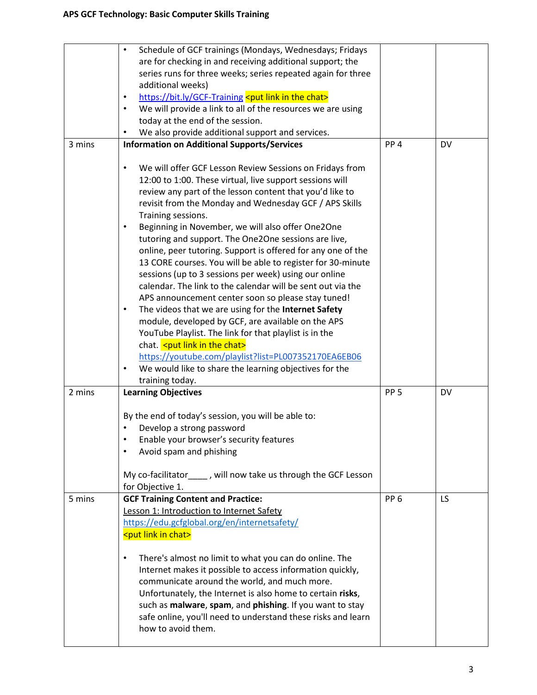|        | Schedule of GCF trainings (Mondays, Wednesdays; Fridays<br>$\bullet$<br>are for checking in and receiving additional support; the<br>series runs for three weeks; series repeated again for three<br>additional weeks)<br>https://bit.ly/GCF-Training <put chat="" in="" link="" the=""><br/><math display="inline">\bullet</math><br/>We will provide a link to all of the resources we are using<br/><math display="inline">\bullet</math><br/>today at the end of the session.<br/>We also provide additional support and services.</put>                                                                                                                                                                                                                                                                                                                                                                                                                                                                                                                                                 |                 |           |
|--------|----------------------------------------------------------------------------------------------------------------------------------------------------------------------------------------------------------------------------------------------------------------------------------------------------------------------------------------------------------------------------------------------------------------------------------------------------------------------------------------------------------------------------------------------------------------------------------------------------------------------------------------------------------------------------------------------------------------------------------------------------------------------------------------------------------------------------------------------------------------------------------------------------------------------------------------------------------------------------------------------------------------------------------------------------------------------------------------------|-----------------|-----------|
| 3 mins | <b>Information on Additional Supports/Services</b>                                                                                                                                                                                                                                                                                                                                                                                                                                                                                                                                                                                                                                                                                                                                                                                                                                                                                                                                                                                                                                           | PP <sub>4</sub> | <b>DV</b> |
|        | We will offer GCF Lesson Review Sessions on Fridays from<br>$\bullet$<br>12:00 to 1:00. These virtual, live support sessions will<br>review any part of the lesson content that you'd like to<br>revisit from the Monday and Wednesday GCF / APS Skills<br>Training sessions.<br>Beginning in November, we will also offer One2One<br>$\bullet$<br>tutoring and support. The One2One sessions are live,<br>online, peer tutoring. Support is offered for any one of the<br>13 CORE courses. You will be able to register for 30-minute<br>sessions (up to 3 sessions per week) using our online<br>calendar. The link to the calendar will be sent out via the<br>APS announcement center soon so please stay tuned!<br>The videos that we are using for the Internet Safety<br>$\bullet$<br>module, developed by GCF, are available on the APS<br>YouTube Playlist. The link for that playlist is in the<br>chat. < put link in the chat><br>https://youtube.com/playlist?list=PL007352170EA6EB06<br>We would like to share the learning objectives for the<br>$\bullet$<br>training today. |                 |           |
| 2 mins | <b>Learning Objectives</b>                                                                                                                                                                                                                                                                                                                                                                                                                                                                                                                                                                                                                                                                                                                                                                                                                                                                                                                                                                                                                                                                   | PP <sub>5</sub> | <b>DV</b> |
|        | By the end of today's session, you will be able to:<br>Develop a strong password<br>Enable your browser's security features<br>$\bullet$<br>Avoid spam and phishing<br>$\bullet$<br>My co-facilitator____, will now take us through the GCF Lesson<br>for Objective 1.                                                                                                                                                                                                                                                                                                                                                                                                                                                                                                                                                                                                                                                                                                                                                                                                                       |                 |           |
| 5 mins | <b>GCF Training Content and Practice:</b><br>Lesson 1: Introduction to Internet Safety<br>https://edu.gcfglobal.org/en/internetsafety/<br><put chat="" in="" link=""><br/>There's almost no limit to what you can do online. The<br/><math display="inline">\bullet</math></put>                                                                                                                                                                                                                                                                                                                                                                                                                                                                                                                                                                                                                                                                                                                                                                                                             | PP <sub>6</sub> | LS.       |
|        | Internet makes it possible to access information quickly,<br>communicate around the world, and much more.<br>Unfortunately, the Internet is also home to certain risks,<br>such as malware, spam, and phishing. If you want to stay<br>safe online, you'll need to understand these risks and learn<br>how to avoid them.                                                                                                                                                                                                                                                                                                                                                                                                                                                                                                                                                                                                                                                                                                                                                                    |                 |           |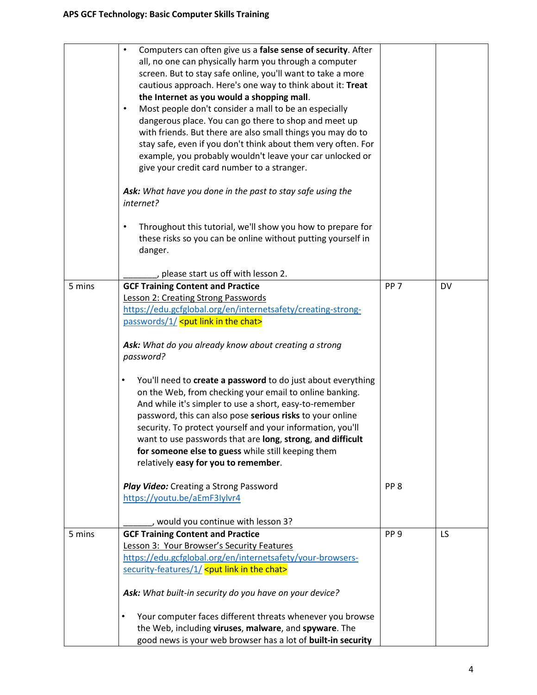|        | Computers can often give us a false sense of security. After<br>$\bullet$ |                 |           |
|--------|---------------------------------------------------------------------------|-----------------|-----------|
|        | all, no one can physically harm you through a computer                    |                 |           |
|        | screen. But to stay safe online, you'll want to take a more               |                 |           |
|        | cautious approach. Here's one way to think about it: Treat                |                 |           |
|        | the Internet as you would a shopping mall.                                |                 |           |
|        | Most people don't consider a mall to be an especially<br>$\bullet$        |                 |           |
|        |                                                                           |                 |           |
|        | dangerous place. You can go there to shop and meet up                     |                 |           |
|        | with friends. But there are also small things you may do to               |                 |           |
|        | stay safe, even if you don't think about them very often. For             |                 |           |
|        | example, you probably wouldn't leave your car unlocked or                 |                 |           |
|        | give your credit card number to a stranger.                               |                 |           |
|        |                                                                           |                 |           |
|        | Ask: What have you done in the past to stay safe using the                |                 |           |
|        | internet?                                                                 |                 |           |
|        | Throughout this tutorial, we'll show you how to prepare for               |                 |           |
|        |                                                                           |                 |           |
|        | these risks so you can be online without putting yourself in              |                 |           |
|        | danger.                                                                   |                 |           |
|        | please start us off with lesson 2.                                        |                 |           |
| 5 mins | <b>GCF Training Content and Practice</b>                                  | PP <sub>7</sub> | <b>DV</b> |
|        |                                                                           |                 |           |
|        | Lesson 2: Creating Strong Passwords                                       |                 |           |
|        | https://edu.gcfglobal.org/en/internetsafety/creating-strong-              |                 |           |
|        | passwords/1/ <put chat="" in="" link="" the=""></put>                     |                 |           |
|        |                                                                           |                 |           |
|        | Ask: What do you already know about creating a strong                     |                 |           |
|        | password?                                                                 |                 |           |
|        | You'll need to create a password to do just about everything<br>٠         |                 |           |
|        | on the Web, from checking your email to online banking.                   |                 |           |
|        | And while it's simpler to use a short, easy-to-remember                   |                 |           |
|        | password, this can also pose serious risks to your online                 |                 |           |
|        | security. To protect yourself and your information, you'll                |                 |           |
|        |                                                                           |                 |           |
|        | want to use passwords that are long, strong, and difficult                |                 |           |
|        | for someone else to guess while still keeping them                        |                 |           |
|        | relatively easy for you to remember.                                      |                 |           |
|        | Play Video: Creating a Strong Password                                    | PP <sub>8</sub> |           |
|        | https://youtu.be/aEmF3Iylvr4                                              |                 |           |
|        |                                                                           |                 |           |
|        | would you continue with lesson 3?                                         |                 |           |
| 5 mins | <b>GCF Training Content and Practice</b>                                  | PP <sub>9</sub> | LS        |
|        | Lesson 3: Your Browser's Security Features                                |                 |           |
|        | https://edu.gcfglobal.org/en/internetsafety/your-browsers-                |                 |           |
|        | security-features/1/ <put chat="" in="" link="" the=""></put>             |                 |           |
|        | Ask: What built-in security do you have on your device?                   |                 |           |
|        | $\bullet$                                                                 |                 |           |
|        | Your computer faces different threats whenever you browse                 |                 |           |
|        | the Web, including viruses, malware, and spyware. The                     |                 |           |
|        | good news is your web browser has a lot of built-in security              |                 |           |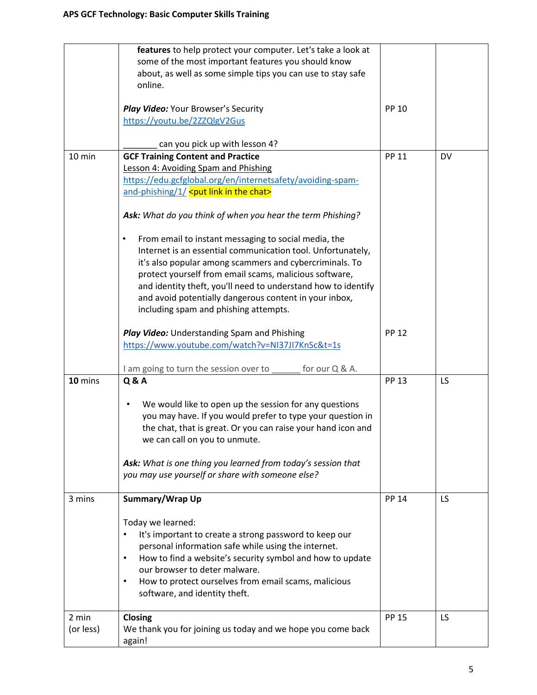|           | features to help protect your computer. Let's take a look at<br>some of the most important features you should know<br>about, as well as some simple tips you can use to stay safe<br>online. |              |     |
|-----------|-----------------------------------------------------------------------------------------------------------------------------------------------------------------------------------------------|--------------|-----|
|           | Play Video: Your Browser's Security<br>https://youtu.be/2ZZQlgV2Gus                                                                                                                           | <b>PP 10</b> |     |
|           | can you pick up with lesson 4?                                                                                                                                                                |              |     |
| 10 min    | <b>GCF Training Content and Practice</b>                                                                                                                                                      | <b>PP 11</b> | DV  |
|           | Lesson 4: Avoiding Spam and Phishing                                                                                                                                                          |              |     |
|           | https://edu.gcfglobal.org/en/internetsafety/avoiding-spam-                                                                                                                                    |              |     |
|           | and-phishing/1/ <put chat="" in="" link="" the=""></put>                                                                                                                                      |              |     |
|           | Ask: What do you think of when you hear the term Phishing?                                                                                                                                    |              |     |
|           | From email to instant messaging to social media, the<br>٠                                                                                                                                     |              |     |
|           | Internet is an essential communication tool. Unfortunately,                                                                                                                                   |              |     |
|           | it's also popular among scammers and cybercriminals. To                                                                                                                                       |              |     |
|           | protect yourself from email scams, malicious software,                                                                                                                                        |              |     |
|           | and identity theft, you'll need to understand how to identify                                                                                                                                 |              |     |
|           | and avoid potentially dangerous content in your inbox,                                                                                                                                        |              |     |
|           | including spam and phishing attempts.                                                                                                                                                         |              |     |
|           |                                                                                                                                                                                               |              |     |
|           | Play Video: Understanding Spam and Phishing                                                                                                                                                   | <b>PP 12</b> |     |
|           | https://www.youtube.com/watch?v=NI37JI7KnSc&t=1s                                                                                                                                              |              |     |
|           |                                                                                                                                                                                               |              |     |
|           | I am going to turn the session over to<br>for our Q & A.                                                                                                                                      |              |     |
| 10 mins   | <b>Q&amp;A</b>                                                                                                                                                                                | <b>PP 13</b> | LS. |
|           |                                                                                                                                                                                               |              |     |
|           | We would like to open up the session for any questions<br>٠                                                                                                                                   |              |     |
|           | you may have. If you would prefer to type your question in                                                                                                                                    |              |     |
|           | the chat, that is great. Or you can raise your hand icon and                                                                                                                                  |              |     |
|           | we can call on you to unmute.                                                                                                                                                                 |              |     |
|           |                                                                                                                                                                                               |              |     |
|           | Ask: What is one thing you learned from today's session that                                                                                                                                  |              |     |
|           | you may use yourself or share with someone else?                                                                                                                                              |              |     |
|           |                                                                                                                                                                                               |              |     |
| 3 mins    | Summary/Wrap Up                                                                                                                                                                               | <b>PP 14</b> | LS. |
|           |                                                                                                                                                                                               |              |     |
|           | Today we learned:                                                                                                                                                                             |              |     |
|           | It's important to create a strong password to keep our<br>$\bullet$                                                                                                                           |              |     |
|           | personal information safe while using the internet.                                                                                                                                           |              |     |
|           | How to find a website's security symbol and how to update<br>$\bullet$                                                                                                                        |              |     |
|           | our browser to deter malware.                                                                                                                                                                 |              |     |
|           | How to protect ourselves from email scams, malicious<br>$\bullet$                                                                                                                             |              |     |
|           | software, and identity theft.                                                                                                                                                                 |              |     |
|           |                                                                                                                                                                                               |              |     |
| 2 min     | Closing                                                                                                                                                                                       | <b>PP 15</b> | LS. |
| (or less) | We thank you for joining us today and we hope you come back                                                                                                                                   |              |     |
|           | again!                                                                                                                                                                                        |              |     |